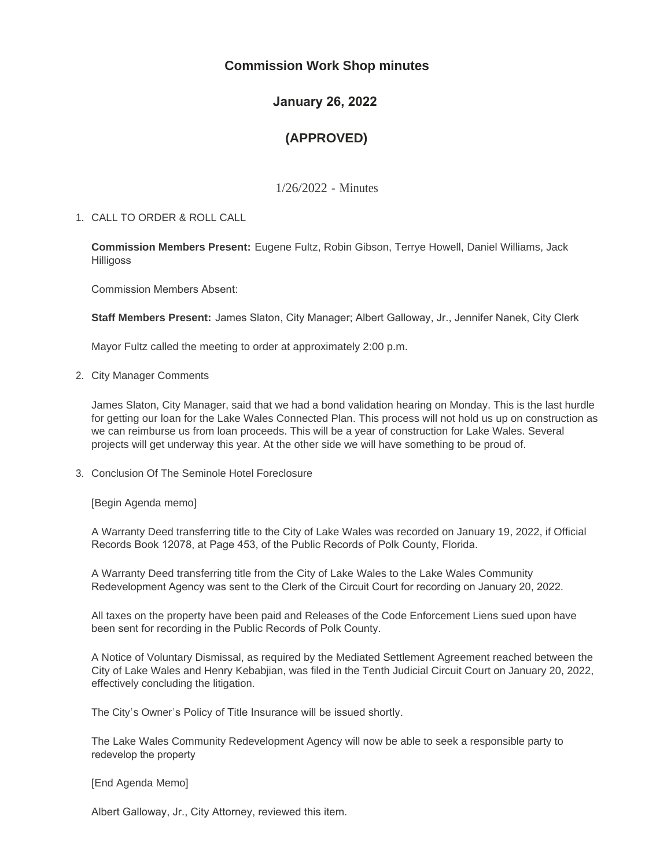# **Commission Work Shop minutes**

# **January 26, 2022**

# **(APPROVED)**

1/26/2022 - Minutes

CALL TO ORDER & ROLL CALL 1.

**Commission Members Present:** Eugene Fultz, Robin Gibson, Terrye Howell, Daniel Williams, Jack **Hilligoss** 

Commission Members Absent:

**Staff Members Present:** James Slaton, City Manager; Albert Galloway, Jr., Jennifer Nanek, City Clerk

Mayor Fultz called the meeting to order at approximately 2:00 p.m.

2. City Manager Comments

James Slaton, City Manager, said that we had a bond validation hearing on Monday. This is the last hurdle for getting our loan for the Lake Wales Connected Plan. This process will not hold us up on construction as we can reimburse us from loan proceeds. This will be a year of construction for Lake Wales. Several projects will get underway this year. At the other side we will have something to be proud of.

3. Conclusion Of The Seminole Hotel Foreclosure

[Begin Agenda memo]

A Warranty Deed transferring title to the City of Lake Wales was recorded on January 19, 2022, if Official Records Book 12078, at Page 453, of the Public Records of Polk County, Florida.

A Warranty Deed transferring title from the City of Lake Wales to the Lake Wales Community Redevelopment Agency was sent to the Clerk of the Circuit Court for recording on January 20, 2022.

All taxes on the property have been paid and Releases of the Code Enforcement Liens sued upon have been sent for recording in the Public Records of Polk County.

A Notice of Voluntary Dismissal, as required by the Mediated Settlement Agreement reached between the City of Lake Wales and Henry Kebabjian, was filed in the Tenth Judicial Circuit Court on January 20, 2022, effectively concluding the litigation.

The City's Owner's Policy of Title Insurance will be issued shortly.

The Lake Wales Community Redevelopment Agency will now be able to seek a responsible party to redevelop the property

[End Agenda Memo]

Albert Galloway, Jr., City Attorney, reviewed this item.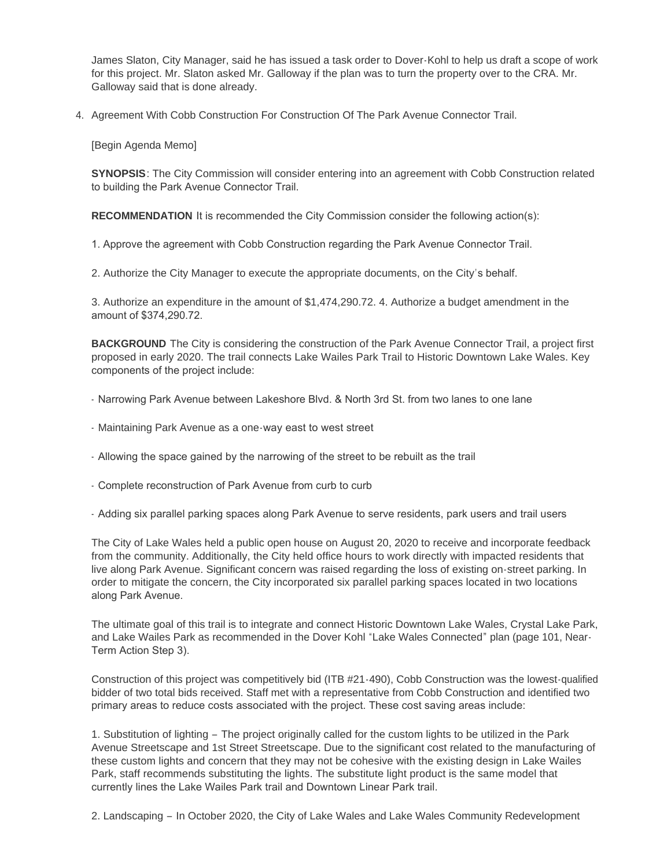James Slaton, City Manager, said he has issued a task order to Dover-Kohl to help us draft a scope of work for this project. Mr. Slaton asked Mr. Galloway if the plan was to turn the property over to the CRA. Mr. Galloway said that is done already.

4. Agreement With Cobb Construction For Construction Of The Park Avenue Connector Trail.

[Begin Agenda Memo]

**SYNOPSIS**: The City Commission will consider entering into an agreement with Cobb Construction related to building the Park Avenue Connector Trail.

**RECOMMENDATION** It is recommended the City Commission consider the following action(s):

1. Approve the agreement with Cobb Construction regarding the Park Avenue Connector Trail.

2. Authorize the City Manager to execute the appropriate documents, on the City's behalf.

3. Authorize an expenditure in the amount of \$1,474,290.72. 4. Authorize a budget amendment in the amount of \$374,290.72.

**BACKGROUND** The City is considering the construction of the Park Avenue Connector Trail, a project first proposed in early 2020. The trail connects Lake Wailes Park Trail to Historic Downtown Lake Wales. Key components of the project include:

- Narrowing Park Avenue between Lakeshore Blvd. & North 3rd St. from two lanes to one lane
- Maintaining Park Avenue as a one-way east to west street
- Allowing the space gained by the narrowing of the street to be rebuilt as the trail
- Complete reconstruction of Park Avenue from curb to curb
- Adding six parallel parking spaces along Park Avenue to serve residents, park users and trail users

The City of Lake Wales held a public open house on August 20, 2020 to receive and incorporate feedback from the community. Additionally, the City held office hours to work directly with impacted residents that live along Park Avenue. Significant concern was raised regarding the loss of existing on-street parking. In order to mitigate the concern, the City incorporated six parallel parking spaces located in two locations along Park Avenue.

The ultimate goal of this trail is to integrate and connect Historic Downtown Lake Wales, Crystal Lake Park, and Lake Wailes Park as recommended in the Dover Kohl "Lake Wales Connected" plan (page 101, Near-Term Action Step 3).

Construction of this project was competitively bid (ITB #21-490), Cobb Construction was the lowest-qualified bidder of two total bids received. Staff met with a representative from Cobb Construction and identified two primary areas to reduce costs associated with the project. These cost saving areas include:

1. Substitution of lighting – The project originally called for the custom lights to be utilized in the Park Avenue Streetscape and 1st Street Streetscape. Due to the significant cost related to the manufacturing of these custom lights and concern that they may not be cohesive with the existing design in Lake Wailes Park, staff recommends substituting the lights. The substitute light product is the same model that currently lines the Lake Wailes Park trail and Downtown Linear Park trail.

2. Landscaping – In October 2020, the City of Lake Wales and Lake Wales Community Redevelopment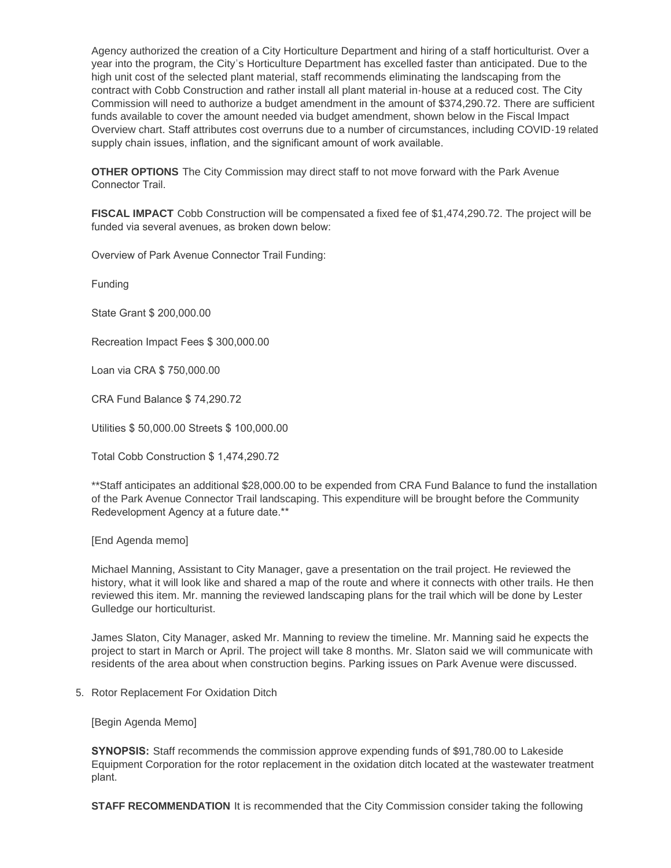Agency authorized the creation of a City Horticulture Department and hiring of a staff horticulturist. Over a year into the program, the City's Horticulture Department has excelled faster than anticipated. Due to the high unit cost of the selected plant material, staff recommends eliminating the landscaping from the contract with Cobb Construction and rather install all plant material in-house at a reduced cost. The City Commission will need to authorize a budget amendment in the amount of \$374,290.72. There are sufficient funds available to cover the amount needed via budget amendment, shown below in the Fiscal Impact Overview chart. Staff attributes cost overruns due to a number of circumstances, including COVID-19 related supply chain issues, inflation, and the significant amount of work available.

**OTHER OPTIONS** The City Commission may direct staff to not move forward with the Park Avenue Connector Trail.

**FISCAL IMPACT** Cobb Construction will be compensated a fixed fee of \$1,474,290.72. The project will be funded via several avenues, as broken down below:

Overview of Park Avenue Connector Trail Funding:

Funding

State Grant \$ 200,000.00

Recreation Impact Fees \$ 300,000.00

Loan via CRA \$ 750,000.00

CRA Fund Balance \$ 74,290.72

Utilities \$ 50,000.00 Streets \$ 100,000.00

Total Cobb Construction \$ 1,474,290.72

\*\*Staff anticipates an additional \$28,000.00 to be expended from CRA Fund Balance to fund the installation of the Park Avenue Connector Trail landscaping. This expenditure will be brought before the Community Redevelopment Agency at a future date.\*\*

[End Agenda memo]

Michael Manning, Assistant to City Manager, gave a presentation on the trail project. He reviewed the history, what it will look like and shared a map of the route and where it connects with other trails. He then reviewed this item. Mr. manning the reviewed landscaping plans for the trail which will be done by Lester Gulledge our horticulturist.

James Slaton, City Manager, asked Mr. Manning to review the timeline. Mr. Manning said he expects the project to start in March or April. The project will take 8 months. Mr. Slaton said we will communicate with residents of the area about when construction begins. Parking issues on Park Avenue were discussed.

5. Rotor Replacement For Oxidation Ditch

[Begin Agenda Memo]

**SYNOPSIS:** Staff recommends the commission approve expending funds of \$91,780.00 to Lakeside Equipment Corporation for the rotor replacement in the oxidation ditch located at the wastewater treatment plant.

**STAFF RECOMMENDATION** It is recommended that the City Commission consider taking the following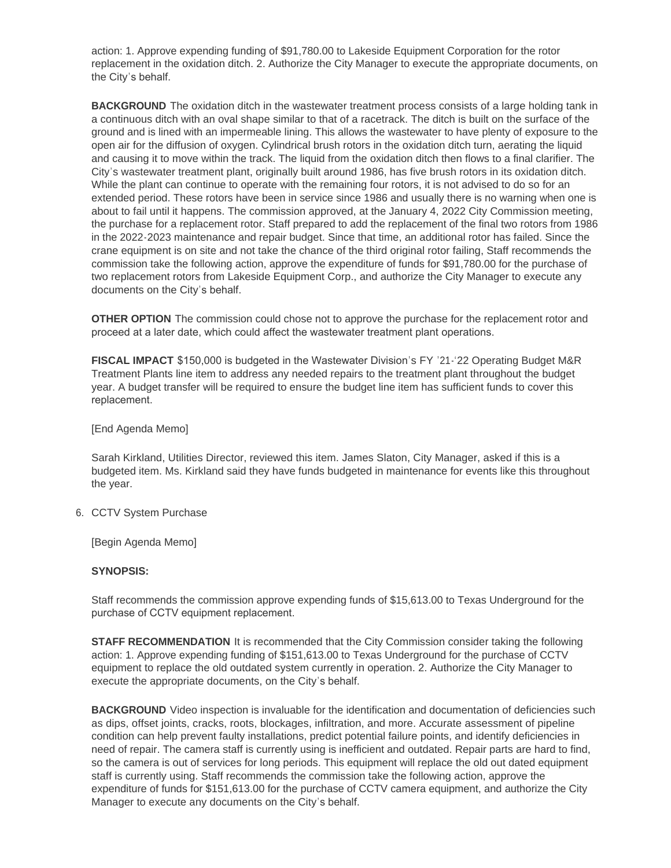action: 1. Approve expending funding of \$91,780.00 to Lakeside Equipment Corporation for the rotor replacement in the oxidation ditch. 2. Authorize the City Manager to execute the appropriate documents, on the City's behalf.

**BACKGROUND** The oxidation ditch in the wastewater treatment process consists of a large holding tank in a continuous ditch with an oval shape similar to that of a racetrack. The ditch is built on the surface of the ground and is lined with an impermeable lining. This allows the wastewater to have plenty of exposure to the open air for the diffusion of oxygen. Cylindrical brush rotors in the oxidation ditch turn, aerating the liquid and causing it to move within the track. The liquid from the oxidation ditch then flows to a final clarifier. The City's wastewater treatment plant, originally built around 1986, has five brush rotors in its oxidation ditch. While the plant can continue to operate with the remaining four rotors, it is not advised to do so for an extended period. These rotors have been in service since 1986 and usually there is no warning when one is about to fail until it happens. The commission approved, at the January 4, 2022 City Commission meeting, the purchase for a replacement rotor. Staff prepared to add the replacement of the final two rotors from 1986 in the 2022-2023 maintenance and repair budget. Since that time, an additional rotor has failed. Since the crane equipment is on site and not take the chance of the third original rotor failing, Staff recommends the commission take the following action, approve the expenditure of funds for \$91,780.00 for the purchase of two replacement rotors from Lakeside Equipment Corp., and authorize the City Manager to execute any documents on the City's behalf.

**OTHER OPTION** The commission could chose not to approve the purchase for the replacement rotor and proceed at a later date, which could affect the wastewater treatment plant operations.

**FISCAL IMPACT** \$150,000 is budgeted in the Wastewater Division's FY '21-'22 Operating Budget M&R Treatment Plants line item to address any needed repairs to the treatment plant throughout the budget year. A budget transfer will be required to ensure the budget line item has sufficient funds to cover this replacement.

### [End Agenda Memo]

Sarah Kirkland, Utilities Director, reviewed this item. James Slaton, City Manager, asked if this is a budgeted item. Ms. Kirkland said they have funds budgeted in maintenance for events like this throughout the year.

### 6. CCTV System Purchase

[Begin Agenda Memo]

### **SYNOPSIS:**

Staff recommends the commission approve expending funds of \$15,613.00 to Texas Underground for the purchase of CCTV equipment replacement.

**STAFF RECOMMENDATION** It is recommended that the City Commission consider taking the following action: 1. Approve expending funding of \$151,613.00 to Texas Underground for the purchase of CCTV equipment to replace the old outdated system currently in operation. 2. Authorize the City Manager to execute the appropriate documents, on the City's behalf.

**BACKGROUND** Video inspection is invaluable for the identification and documentation of deficiencies such as dips, offset joints, cracks, roots, blockages, infiltration, and more. Accurate assessment of pipeline condition can help prevent faulty installations, predict potential failure points, and identify deficiencies in need of repair. The camera staff is currently using is inefficient and outdated. Repair parts are hard to find, so the camera is out of services for long periods. This equipment will replace the old out dated equipment staff is currently using. Staff recommends the commission take the following action, approve the expenditure of funds for \$151,613.00 for the purchase of CCTV camera equipment, and authorize the City Manager to execute any documents on the City's behalf.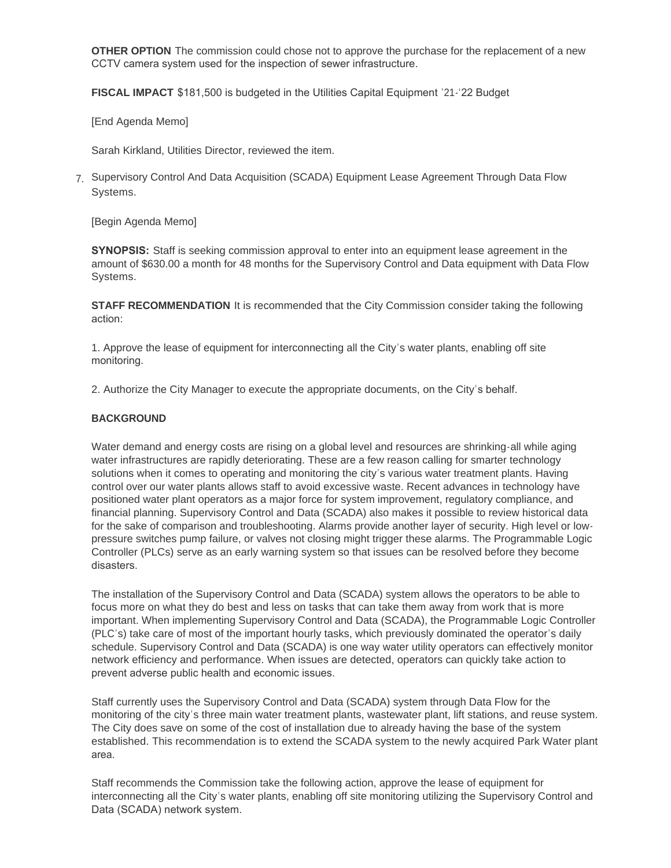**OTHER OPTION** The commission could chose not to approve the purchase for the replacement of a new CCTV camera system used for the inspection of sewer infrastructure.

**FISCAL IMPACT** \$181,500 is budgeted in the Utilities Capital Equipment '21-'22 Budget

[End Agenda Memo]

Sarah Kirkland, Utilities Director, reviewed the item.

7. Supervisory Control And Data Acquisition (SCADA) Equipment Lease Agreement Through Data Flow Systems.

[Begin Agenda Memo]

**SYNOPSIS:** Staff is seeking commission approval to enter into an equipment lease agreement in the amount of \$630.00 a month for 48 months for the Supervisory Control and Data equipment with Data Flow Systems.

**STAFF RECOMMENDATION** It is recommended that the City Commission consider taking the following action:

1. Approve the lease of equipment for interconnecting all the City's water plants, enabling off site monitoring.

2. Authorize the City Manager to execute the appropriate documents, on the City's behalf.

#### **BACKGROUND**

Water demand and energy costs are rising on a global level and resources are shrinking-all while aging water infrastructures are rapidly deteriorating. These are a few reason calling for smarter technology solutions when it comes to operating and monitoring the city's various water treatment plants. Having control over our water plants allows staff to avoid excessive waste. Recent advances in technology have positioned water plant operators as a major force for system improvement, regulatory compliance, and financial planning. Supervisory Control and Data (SCADA) also makes it possible to review historical data for the sake of comparison and troubleshooting. Alarms provide another layer of security. High level or lowpressure switches pump failure, or valves not closing might trigger these alarms. The Programmable Logic Controller (PLCs) serve as an early warning system so that issues can be resolved before they become disasters.

The installation of the Supervisory Control and Data (SCADA) system allows the operators to be able to focus more on what they do best and less on tasks that can take them away from work that is more important. When implementing Supervisory Control and Data (SCADA), the Programmable Logic Controller (PLC's) take care of most of the important hourly tasks, which previously dominated the operator's daily schedule. Supervisory Control and Data (SCADA) is one way water utility operators can effectively monitor network efficiency and performance. When issues are detected, operators can quickly take action to prevent adverse public health and economic issues.

Staff currently uses the Supervisory Control and Data (SCADA) system through Data Flow for the monitoring of the city's three main water treatment plants, wastewater plant, lift stations, and reuse system. The City does save on some of the cost of installation due to already having the base of the system established. This recommendation is to extend the SCADA system to the newly acquired Park Water plant area.

Staff recommends the Commission take the following action, approve the lease of equipment for interconnecting all the City's water plants, enabling off site monitoring utilizing the Supervisory Control and Data (SCADA) network system.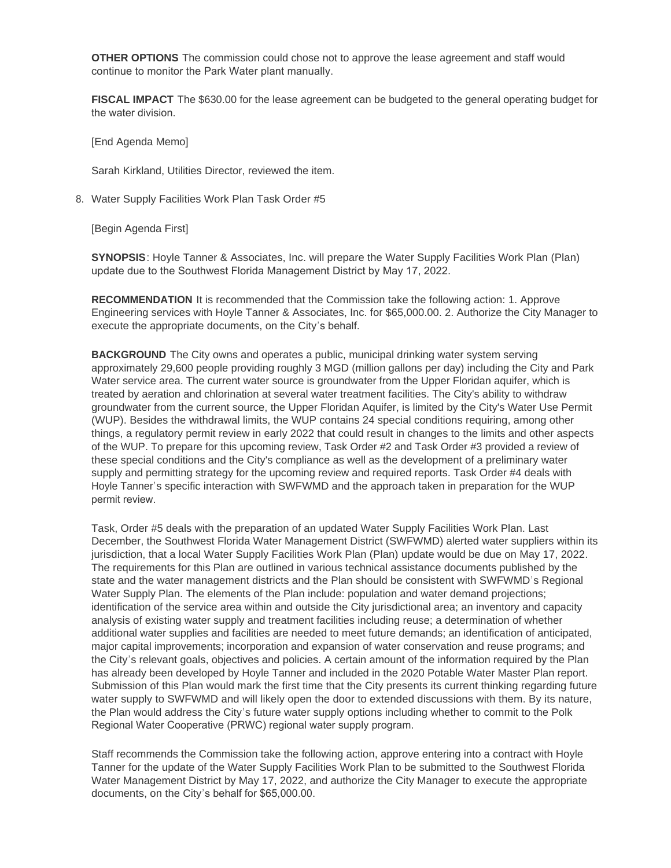**OTHER OPTIONS** The commission could chose not to approve the lease agreement and staff would continue to monitor the Park Water plant manually.

**FISCAL IMPACT** The \$630.00 for the lease agreement can be budgeted to the general operating budget for the water division.

[End Agenda Memo]

Sarah Kirkland, Utilities Director, reviewed the item.

8. Water Supply Facilities Work Plan Task Order #5

[Begin Agenda First]

**SYNOPSIS**: Hoyle Tanner & Associates, Inc. will prepare the Water Supply Facilities Work Plan (Plan) update due to the Southwest Florida Management District by May 17, 2022.

**RECOMMENDATION** It is recommended that the Commission take the following action: 1. Approve Engineering services with Hoyle Tanner & Associates, Inc. for \$65,000.00. 2. Authorize the City Manager to execute the appropriate documents, on the City's behalf.

**BACKGROUND** The City owns and operates a public, municipal drinking water system serving approximately 29,600 people providing roughly 3 MGD (million gallons per day) including the City and Park Water service area. The current water source is groundwater from the Upper Floridan aquifer, which is treated by aeration and chlorination at several water treatment facilities. The City's ability to withdraw groundwater from the current source, the Upper Floridan Aquifer, is limited by the City's Water Use Permit (WUP). Besides the withdrawal limits, the WUP contains 24 special conditions requiring, among other things, a regulatory permit review in early 2022 that could result in changes to the limits and other aspects of the WUP. To prepare for this upcoming review, Task Order #2 and Task Order #3 provided a review of these special conditions and the City's compliance as well as the development of a preliminary water supply and permitting strategy for the upcoming review and required reports. Task Order #4 deals with Hoyle Tanner's specific interaction with SWFWMD and the approach taken in preparation for the WUP permit review.

Task, Order #5 deals with the preparation of an updated Water Supply Facilities Work Plan. Last December, the Southwest Florida Water Management District (SWFWMD) alerted water suppliers within its jurisdiction, that a local Water Supply Facilities Work Plan (Plan) update would be due on May 17, 2022. The requirements for this Plan are outlined in various technical assistance documents published by the state and the water management districts and the Plan should be consistent with SWFWMD's Regional Water Supply Plan. The elements of the Plan include: population and water demand projections; identification of the service area within and outside the City jurisdictional area; an inventory and capacity analysis of existing water supply and treatment facilities including reuse; a determination of whether additional water supplies and facilities are needed to meet future demands; an identification of anticipated, major capital improvements; incorporation and expansion of water conservation and reuse programs; and the City's relevant goals, objectives and policies. A certain amount of the information required by the Plan has already been developed by Hoyle Tanner and included in the 2020 Potable Water Master Plan report. Submission of this Plan would mark the first time that the City presents its current thinking regarding future water supply to SWFWMD and will likely open the door to extended discussions with them. By its nature, the Plan would address the City's future water supply options including whether to commit to the Polk Regional Water Cooperative (PRWC) regional water supply program.

Staff recommends the Commission take the following action, approve entering into a contract with Hoyle Tanner for the update of the Water Supply Facilities Work Plan to be submitted to the Southwest Florida Water Management District by May 17, 2022, and authorize the City Manager to execute the appropriate documents, on the City's behalf for \$65,000.00.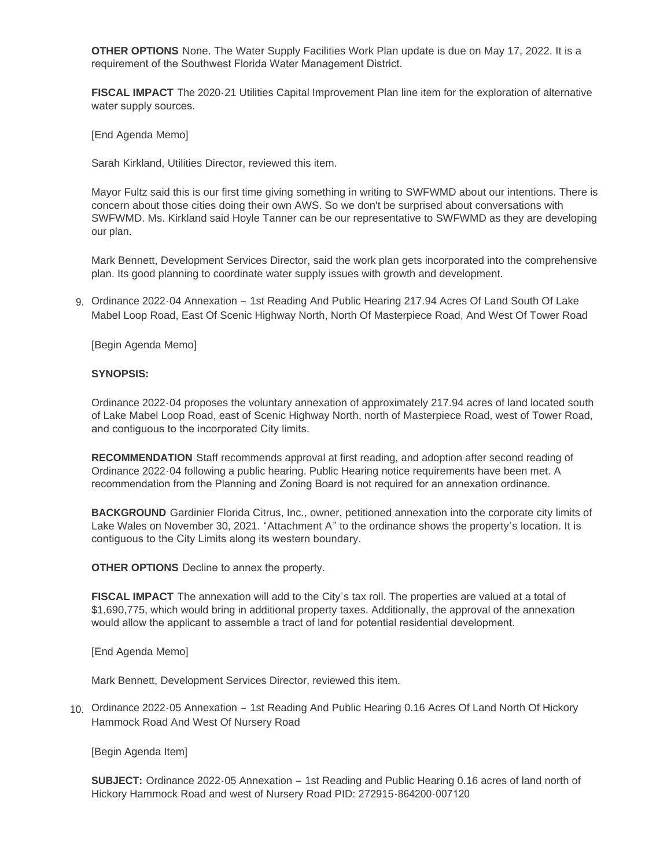**OTHER OPTIONS** None. The Water Supply Facilities Work Plan update is due on May 17, 2022. It is a requirement of the Southwest Florida Water Management District.

**FISCAL IMPACT** The 2020-21 Utilities Capital Improvement Plan line item for the exploration of alternative water supply sources.

[End Agenda Memo]

Sarah Kirkland, Utilities Director, reviewed this item.

Mayor Fultz said this is our first time giving something in writing to SWFWMD about our intentions. There is concern about those cities doing their own AWS. So we don't be surprised about conversations with SWFWMD. Ms. Kirkland said Hoyle Tanner can be our representative to SWFWMD as they are developing our plan.

Mark Bennett, Development Services Director, said the work plan gets incorporated into the comprehensive plan. Its good planning to coordinate water supply issues with growth and development.

g. Ordinance 2022-04 Annexation - 1st Reading And Public Hearing 217.94 Acres Of Land South Of Lake Mabel Loop Road, East Of Scenic Highway North, North Of Masterpiece Road, And West Of Tower Road

[Begin Agenda Memo]

#### **SYNOPSIS:**

Ordinance 2022-04 proposes the voluntary annexation of approximately 217.94 acres of land located south of Lake Mabel Loop Road, east of Scenic Highway North, north of Masterpiece Road, west of Tower Road, and contiguous to the incorporated City limits.

**RECOMMENDATION** Staff recommends approval at first reading, and adoption after second reading of Ordinance 2022-04 following a public hearing. Public Hearing notice requirements have been met. A recommendation from the Planning and Zoning Board is not required for an annexation ordinance.

**BACKGROUND** Gardinier Florida Citrus, Inc., owner, petitioned annexation into the corporate city limits of Lake Wales on November 30, 2021. "Attachment A" to the ordinance shows the property's location. It is contiguous to the City Limits along its western boundary.

**OTHER OPTIONS** Decline to annex the property.

**FISCAL IMPACT** The annexation will add to the City's tax roll. The properties are valued at a total of \$1,690,775, which would bring in additional property taxes. Additionally, the approval of the annexation would allow the applicant to assemble a tract of land for potential residential development.

[End Agenda Memo]

Mark Bennett, Development Services Director, reviewed this item.

10. Ordinance 2022-05 Annexation - 1st Reading And Public Hearing 0.16 Acres Of Land North Of Hickory Hammock Road And West Of Nursery Road

[Begin Agenda Item]

**SUBJECT:** Ordinance 2022-05 Annexation – 1st Reading and Public Hearing 0.16 acres of land north of Hickory Hammock Road and west of Nursery Road PID: 272915-864200-007120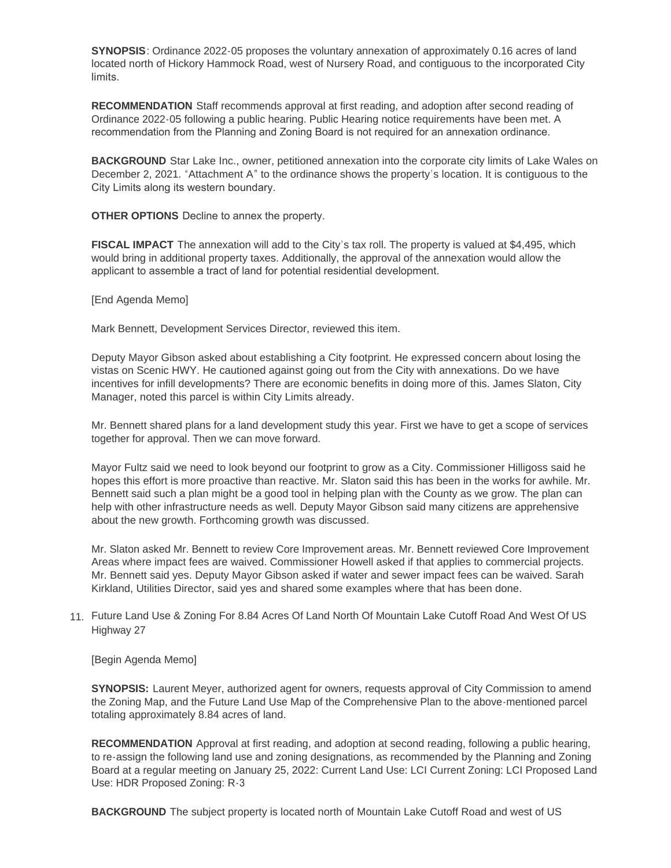**SYNOPSIS**: Ordinance 2022-05 proposes the voluntary annexation of approximately 0.16 acres of land located north of Hickory Hammock Road, west of Nursery Road, and contiguous to the incorporated City limits.

**RECOMMENDATION** Staff recommends approval at first reading, and adoption after second reading of Ordinance 2022-05 following a public hearing. Public Hearing notice requirements have been met. A recommendation from the Planning and Zoning Board is not required for an annexation ordinance.

**BACKGROUND** Star Lake Inc., owner, petitioned annexation into the corporate city limits of Lake Wales on December 2, 2021. "Attachment A" to the ordinance shows the property's location. It is contiguous to the City Limits along its western boundary.

**OTHER OPTIONS** Decline to annex the property.

**FISCAL IMPACT** The annexation will add to the City's tax roll. The property is valued at \$4,495, which would bring in additional property taxes. Additionally, the approval of the annexation would allow the applicant to assemble a tract of land for potential residential development.

[End Agenda Memo]

Mark Bennett, Development Services Director, reviewed this item.

Deputy Mayor Gibson asked about establishing a City footprint. He expressed concern about losing the vistas on Scenic HWY. He cautioned against going out from the City with annexations. Do we have incentives for infill developments? There are economic benefits in doing more of this. James Slaton, City Manager, noted this parcel is within City Limits already.

Mr. Bennett shared plans for a land development study this year. First we have to get a scope of services together for approval. Then we can move forward.

Mayor Fultz said we need to look beyond our footprint to grow as a City. Commissioner Hilligoss said he hopes this effort is more proactive than reactive. Mr. Slaton said this has been in the works for awhile. Mr. Bennett said such a plan might be a good tool in helping plan with the County as we grow. The plan can help with other infrastructure needs as well. Deputy Mayor Gibson said many citizens are apprehensive about the new growth. Forthcoming growth was discussed.

Mr. Slaton asked Mr. Bennett to review Core Improvement areas. Mr. Bennett reviewed Core Improvement Areas where impact fees are waived. Commissioner Howell asked if that applies to commercial projects. Mr. Bennett said yes. Deputy Mayor Gibson asked if water and sewer impact fees can be waived. Sarah Kirkland, Utilities Director, said yes and shared some examples where that has been done.

Future Land Use & Zoning For 8.84 Acres Of Land North Of Mountain Lake Cutoff Road And West Of US 11. Highway 27

[Begin Agenda Memo]

**SYNOPSIS:** Laurent Meyer, authorized agent for owners, requests approval of City Commission to amend the Zoning Map, and the Future Land Use Map of the Comprehensive Plan to the above-mentioned parcel totaling approximately 8.84 acres of land.

**RECOMMENDATION** Approval at first reading, and adoption at second reading, following a public hearing, to re-assign the following land use and zoning designations, as recommended by the Planning and Zoning Board at a regular meeting on January 25, 2022: Current Land Use: LCI Current Zoning: LCI Proposed Land Use: HDR Proposed Zoning: R-3

**BACKGROUND** The subject property is located north of Mountain Lake Cutoff Road and west of US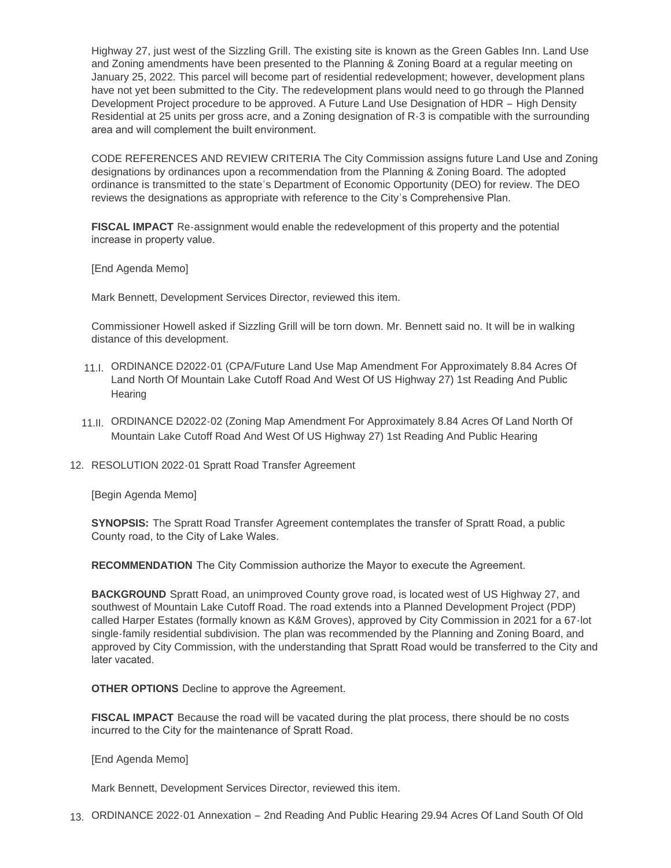Highway 27, just west of the Sizzling Grill. The existing site is known as the Green Gables Inn. Land Use and Zoning amendments have been presented to the Planning & Zoning Board at a regular meeting on January 25, 2022. This parcel will become part of residential redevelopment; however, development plans have not yet been submitted to the City. The redevelopment plans would need to go through the Planned Development Project procedure to be approved. A Future Land Use Designation of HDR – High Density Residential at 25 units per gross acre, and a Zoning designation of R-3 is compatible with the surrounding area and will complement the built environment.

CODE REFERENCES AND REVIEW CRITERIA The City Commission assigns future Land Use and Zoning designations by ordinances upon a recommendation from the Planning & Zoning Board. The adopted ordinance is transmitted to the state's Department of Economic Opportunity (DEO) for review. The DEO reviews the designations as appropriate with reference to the City's Comprehensive Plan.

**FISCAL IMPACT** Re-assignment would enable the redevelopment of this property and the potential increase in property value.

[End Agenda Memo]

Mark Bennett, Development Services Director, reviewed this item.

Commissioner Howell asked if Sizzling Grill will be torn down. Mr. Bennett said no. It will be in walking distance of this development.

- 11.I. ORDINANCE D2022-01 (CPA/Future Land Use Map Amendment For Approximately 8.84 Acres Of Land North Of Mountain Lake Cutoff Road And West Of US Highway 27) 1st Reading And Public **Hearing**
- 11.II. ORDINANCE D2022-02 (Zoning Map Amendment For Approximately 8.84 Acres Of Land North Of Mountain Lake Cutoff Road And West Of US Highway 27) 1st Reading And Public Hearing
- 12. RESOLUTION 2022-01 Spratt Road Transfer Agreement

[Begin Agenda Memo]

**SYNOPSIS:** The Spratt Road Transfer Agreement contemplates the transfer of Spratt Road, a public County road, to the City of Lake Wales.

**RECOMMENDATION** The City Commission authorize the Mayor to execute the Agreement.

**BACKGROUND** Spratt Road, an unimproved County grove road, is located west of US Highway 27, and southwest of Mountain Lake Cutoff Road. The road extends into a Planned Development Project (PDP) called Harper Estates (formally known as K&M Groves), approved by City Commission in 2021 for a 67-lot single-family residential subdivision. The plan was recommended by the Planning and Zoning Board, and approved by City Commission, with the understanding that Spratt Road would be transferred to the City and later vacated.

**OTHER OPTIONS** Decline to approve the Agreement.

**FISCAL IMPACT** Because the road will be vacated during the plat process, there should be no costs incurred to the City for the maintenance of Spratt Road.

[End Agenda Memo]

Mark Bennett, Development Services Director, reviewed this item.

ORDINANCE 2022-01 Annexation – 2nd Reading And Public Hearing 29.94 Acres Of Land South Of Old 13.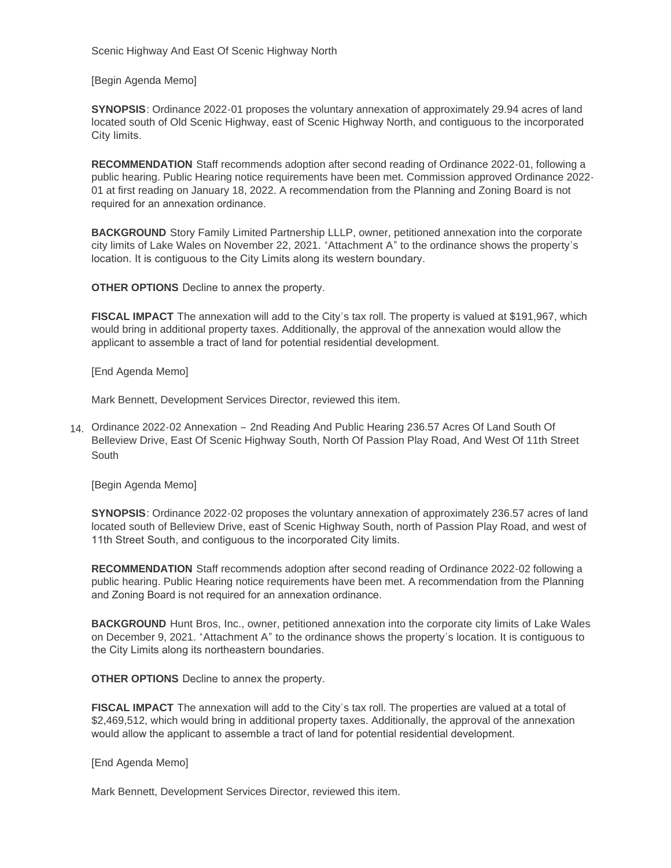Scenic Highway And East Of Scenic Highway North

[Begin Agenda Memo]

**SYNOPSIS**: Ordinance 2022-01 proposes the voluntary annexation of approximately 29.94 acres of land located south of Old Scenic Highway, east of Scenic Highway North, and contiguous to the incorporated City limits.

**RECOMMENDATION** Staff recommends adoption after second reading of Ordinance 2022-01, following a public hearing. Public Hearing notice requirements have been met. Commission approved Ordinance 2022- 01 at first reading on January 18, 2022. A recommendation from the Planning and Zoning Board is not required for an annexation ordinance.

**BACKGROUND** Story Family Limited Partnership LLLP, owner, petitioned annexation into the corporate city limits of Lake Wales on November 22, 2021. "Attachment A" to the ordinance shows the property's location. It is contiguous to the City Limits along its western boundary.

**OTHER OPTIONS** Decline to annex the property.

**FISCAL IMPACT** The annexation will add to the City's tax roll. The property is valued at \$191,967, which would bring in additional property taxes. Additionally, the approval of the annexation would allow the applicant to assemble a tract of land for potential residential development.

[End Agenda Memo]

Mark Bennett, Development Services Director, reviewed this item.

Ordinance 2022-02 Annexation – 2nd Reading And Public Hearing 236.57 Acres Of Land South Of 14. Belleview Drive, East Of Scenic Highway South, North Of Passion Play Road, And West Of 11th Street South

[Begin Agenda Memo]

**SYNOPSIS**: Ordinance 2022-02 proposes the voluntary annexation of approximately 236.57 acres of land located south of Belleview Drive, east of Scenic Highway South, north of Passion Play Road, and west of 11th Street South, and contiguous to the incorporated City limits.

**RECOMMENDATION** Staff recommends adoption after second reading of Ordinance 2022-02 following a public hearing. Public Hearing notice requirements have been met. A recommendation from the Planning and Zoning Board is not required for an annexation ordinance.

**BACKGROUND** Hunt Bros, Inc., owner, petitioned annexation into the corporate city limits of Lake Wales on December 9, 2021. "Attachment A" to the ordinance shows the property's location. It is contiguous to the City Limits along its northeastern boundaries.

**OTHER OPTIONS** Decline to annex the property.

**FISCAL IMPACT** The annexation will add to the City's tax roll. The properties are valued at a total of \$2,469,512, which would bring in additional property taxes. Additionally, the approval of the annexation would allow the applicant to assemble a tract of land for potential residential development.

[End Agenda Memo]

Mark Bennett, Development Services Director, reviewed this item.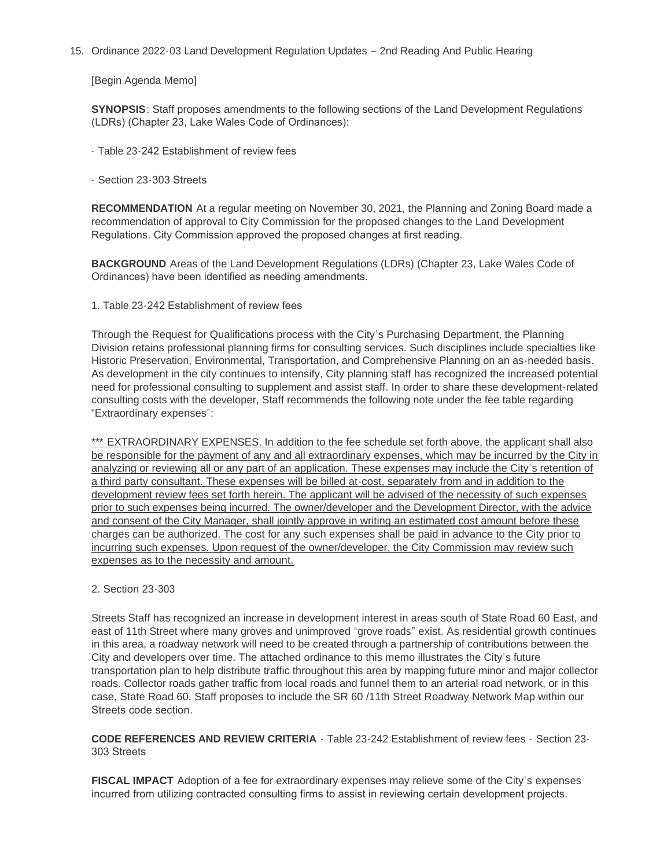15. Ordinance 2022-03 Land Development Regulation Updates - 2nd Reading And Public Hearing

[Begin Agenda Memo]

**SYNOPSIS**: Staff proposes amendments to the following sections of the Land Development Regulations (LDRs) (Chapter 23, Lake Wales Code of Ordinances):

- Table 23-242 Establishment of review fees
- Section 23-303 Streets

**RECOMMENDATION** At a regular meeting on November 30, 2021, the Planning and Zoning Board made a recommendation of approval to City Commission for the proposed changes to the Land Development Regulations. City Commission approved the proposed changes at first reading.

**BACKGROUND** Areas of the Land Development Regulations (LDRs) (Chapter 23, Lake Wales Code of Ordinances) have been identified as needing amendments.

1. Table 23-242 Establishment of review fees

Through the Request for Qualifications process with the City's Purchasing Department, the Planning Division retains professional planning firms for consulting services. Such disciplines include specialties like Historic Preservation, Environmental, Transportation, and Comprehensive Planning on an as-needed basis. As development in the city continues to intensify, City planning staff has recognized the increased potential need for professional consulting to supplement and assist staff. In order to share these development-related consulting costs with the developer, Staff recommends the following note under the fee table regarding "Extraordinary expenses":

\*\*\* EXTRAORDINARY EXPENSES. In addition to the fee schedule set forth above, the applicant shall also be responsible for the payment of any and all extraordinary expenses, which may be incurred by the City in analyzing or reviewing all or any part of an application. These expenses may include the City's retention of a third party consultant. These expenses will be billed at-cost, separately from and in addition to the development review fees set forth herein. The applicant will be advised of the necessity of such expenses prior to such expenses being incurred. The owner/developer and the Development Director, with the advice and consent of the City Manager, shall jointly approve in writing an estimated cost amount before these charges can be authorized. The cost for any such expenses shall be paid in advance to the City prior to incurring such expenses. Upon request of the owner/developer, the City Commission may review such expenses as to the necessity and amount.

### 2. Section 23-303

Streets Staff has recognized an increase in development interest in areas south of State Road 60 East, and east of 11th Street where many groves and unimproved "grove roads" exist. As residential growth continues in this area, a roadway network will need to be created through a partnership of contributions between the City and developers over time. The attached ordinance to this memo illustrates the City's future transportation plan to help distribute traffic throughout this area by mapping future minor and major collector roads. Collector roads gather traffic from local roads and funnel them to an arterial road network, or in this case, State Road 60. Staff proposes to include the SR 60 /11th Street Roadway Network Map within our Streets code section.

**CODE REFERENCES AND REVIEW CRITERIA** - Table 23-242 Establishment of review fees - Section 23- 303 Streets

**FISCAL IMPACT** Adoption of a fee for extraordinary expenses may relieve some of the City's expenses incurred from utilizing contracted consulting firms to assist in reviewing certain development projects.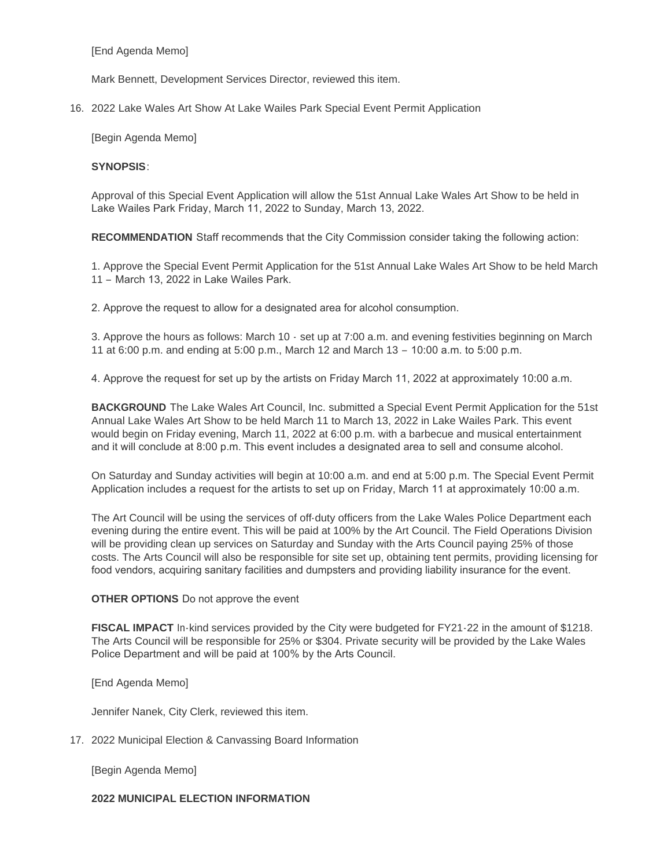[End Agenda Memo]

Mark Bennett, Development Services Director, reviewed this item.

2022 Lake Wales Art Show At Lake Wailes Park Special Event Permit Application 16.

[Begin Agenda Memo]

#### **SYNOPSIS**:

Approval of this Special Event Application will allow the 51st Annual Lake Wales Art Show to be held in Lake Wailes Park Friday, March 11, 2022 to Sunday, March 13, 2022.

**RECOMMENDATION** Staff recommends that the City Commission consider taking the following action:

1. Approve the Special Event Permit Application for the 51st Annual Lake Wales Art Show to be held March 11 – March 13, 2022 in Lake Wailes Park.

2. Approve the request to allow for a designated area for alcohol consumption.

3. Approve the hours as follows: March 10 - set up at 7:00 a.m. and evening festivities beginning on March 11 at 6:00 p.m. and ending at 5:00 p.m., March 12 and March 13 – 10:00 a.m. to 5:00 p.m.

4. Approve the request for set up by the artists on Friday March 11, 2022 at approximately 10:00 a.m.

**BACKGROUND** The Lake Wales Art Council, Inc. submitted a Special Event Permit Application for the 51st Annual Lake Wales Art Show to be held March 11 to March 13, 2022 in Lake Wailes Park. This event would begin on Friday evening, March 11, 2022 at 6:00 p.m. with a barbecue and musical entertainment and it will conclude at 8:00 p.m. This event includes a designated area to sell and consume alcohol.

On Saturday and Sunday activities will begin at 10:00 a.m. and end at 5:00 p.m. The Special Event Permit Application includes a request for the artists to set up on Friday, March 11 at approximately 10:00 a.m.

The Art Council will be using the services of off-duty officers from the Lake Wales Police Department each evening during the entire event. This will be paid at 100% by the Art Council. The Field Operations Division will be providing clean up services on Saturday and Sunday with the Arts Council paying 25% of those costs. The Arts Council will also be responsible for site set up, obtaining tent permits, providing licensing for food vendors, acquiring sanitary facilities and dumpsters and providing liability insurance for the event.

### **OTHER OPTIONS** Do not approve the event

**FISCAL IMPACT** In-kind services provided by the City were budgeted for FY21-22 in the amount of \$1218. The Arts Council will be responsible for 25% or \$304. Private security will be provided by the Lake Wales Police Department and will be paid at 100% by the Arts Council.

[End Agenda Memo]

Jennifer Nanek, City Clerk, reviewed this item.

17. 2022 Municipal Election & Canvassing Board Information

[Begin Agenda Memo]

### **2022 MUNICIPAL ELECTION INFORMATION**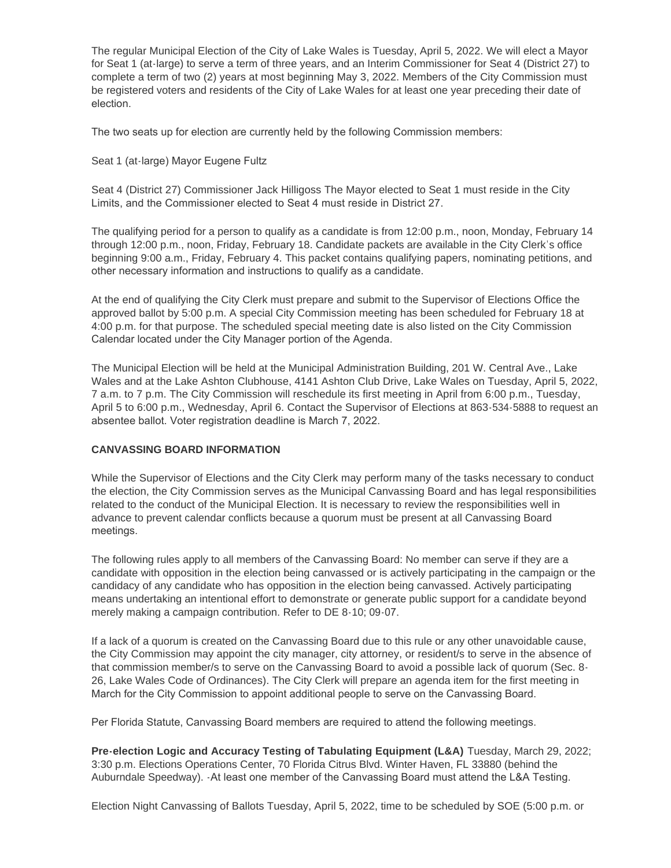The regular Municipal Election of the City of Lake Wales is Tuesday, April 5, 2022. We will elect a Mayor for Seat 1 (at-large) to serve a term of three years, and an Interim Commissioner for Seat 4 (District 27) to complete a term of two (2) years at most beginning May 3, 2022. Members of the City Commission must be registered voters and residents of the City of Lake Wales for at least one year preceding their date of election.

The two seats up for election are currently held by the following Commission members:

Seat 1 (at-large) Mayor Eugene Fultz

Seat 4 (District 27) Commissioner Jack Hilligoss The Mayor elected to Seat 1 must reside in the City Limits, and the Commissioner elected to Seat 4 must reside in District 27.

The qualifying period for a person to qualify as a candidate is from 12:00 p.m., noon, Monday, February 14 through 12:00 p.m., noon, Friday, February 18. Candidate packets are available in the City Clerk's office beginning 9:00 a.m., Friday, February 4. This packet contains qualifying papers, nominating petitions, and other necessary information and instructions to qualify as a candidate.

At the end of qualifying the City Clerk must prepare and submit to the Supervisor of Elections Office the approved ballot by 5:00 p.m. A special City Commission meeting has been scheduled for February 18 at 4:00 p.m. for that purpose. The scheduled special meeting date is also listed on the City Commission Calendar located under the City Manager portion of the Agenda.

The Municipal Election will be held at the Municipal Administration Building, 201 W. Central Ave., Lake Wales and at the Lake Ashton Clubhouse, 4141 Ashton Club Drive, Lake Wales on Tuesday, April 5, 2022, 7 a.m. to 7 p.m. The City Commission will reschedule its first meeting in April from 6:00 p.m., Tuesday, April 5 to 6:00 p.m., Wednesday, April 6. Contact the Supervisor of Elections at 863-534-5888 to request an absentee ballot. Voter registration deadline is March 7, 2022.

## **CANVASSING BOARD INFORMATION**

While the Supervisor of Elections and the City Clerk may perform many of the tasks necessary to conduct the election, the City Commission serves as the Municipal Canvassing Board and has legal responsibilities related to the conduct of the Municipal Election. It is necessary to review the responsibilities well in advance to prevent calendar conflicts because a quorum must be present at all Canvassing Board meetings.

The following rules apply to all members of the Canvassing Board: No member can serve if they are a candidate with opposition in the election being canvassed or is actively participating in the campaign or the candidacy of any candidate who has opposition in the election being canvassed. Actively participating means undertaking an intentional effort to demonstrate or generate public support for a candidate beyond merely making a campaign contribution. Refer to DE 8-10; 09-07.

If a lack of a quorum is created on the Canvassing Board due to this rule or any other unavoidable cause, the City Commission may appoint the city manager, city attorney, or resident/s to serve in the absence of that commission member/s to serve on the Canvassing Board to avoid a possible lack of quorum (Sec. 8- 26, Lake Wales Code of Ordinances). The City Clerk will prepare an agenda item for the first meeting in March for the City Commission to appoint additional people to serve on the Canvassing Board.

Per Florida Statute, Canvassing Board members are required to attend the following meetings.

**Pre-election Logic and Accuracy Testing of Tabulating Equipment (L&A)** Tuesday, March 29, 2022; 3:30 p.m. Elections Operations Center, 70 Florida Citrus Blvd. Winter Haven, FL 33880 (behind the Auburndale Speedway). -At least one member of the Canvassing Board must attend the L&A Testing.

Election Night Canvassing of Ballots Tuesday, April 5, 2022, time to be scheduled by SOE (5:00 p.m. or